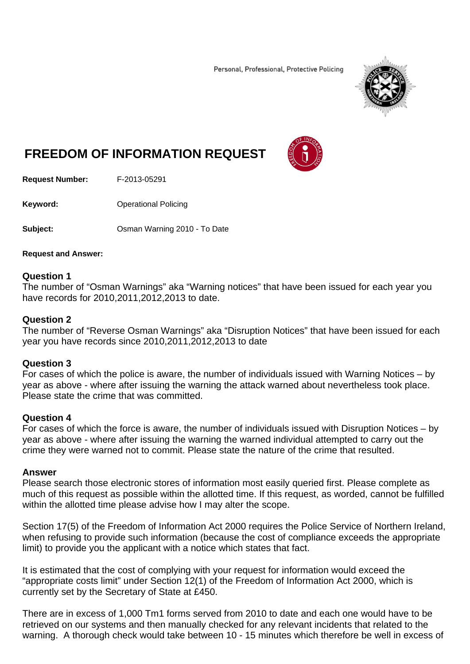Personal, Professional, Protective Policing



# **FREEDOM OF INFORMATION REQUEST**



**Request Number:** F-2013-05291

**Keyword: C**Derational Policing

**Subject:** Osman Warning 2010 - To Date

#### **Request and Answer:**

#### **Question 1**

The number of "Osman Warnings" aka "Warning notices" that have been issued for each year you have records for 2010,2011,2012,2013 to date.

### **Question 2**

The number of "Reverse Osman Warnings" aka "Disruption Notices" that have been issued for each year you have records since 2010,2011,2012,2013 to date

# **Question 3**

For cases of which the police is aware, the number of individuals issued with Warning Notices – by year as above - where after issuing the warning the attack warned about nevertheless took place. Please state the crime that was committed.

# **Question 4**

For cases of which the force is aware, the number of individuals issued with Disruption Notices – by year as above - where after issuing the warning the warned individual attempted to carry out the crime they were warned not to commit. Please state the nature of the crime that resulted.

#### **Answer**

Please search those electronic stores of information most easily queried first. Please complete as much of this request as possible within the allotted time. If this request, as worded, cannot be fulfilled within the allotted time please advise how I may alter the scope.

Section 17(5) of the Freedom of Information Act 2000 requires the Police Service of Northern Ireland, when refusing to provide such information (because the cost of compliance exceeds the appropriate limit) to provide you the applicant with a notice which states that fact.

It is estimated that the cost of complying with your request for information would exceed the "appropriate costs limit" under Section 12(1) of the Freedom of Information Act 2000, which is currently set by the Secretary of State at £450.

There are in excess of 1,000 Tm1 forms served from 2010 to date and each one would have to be retrieved on our systems and then manually checked for any relevant incidents that related to the warning. A thorough check would take between 10 - 15 minutes which therefore be well in excess of